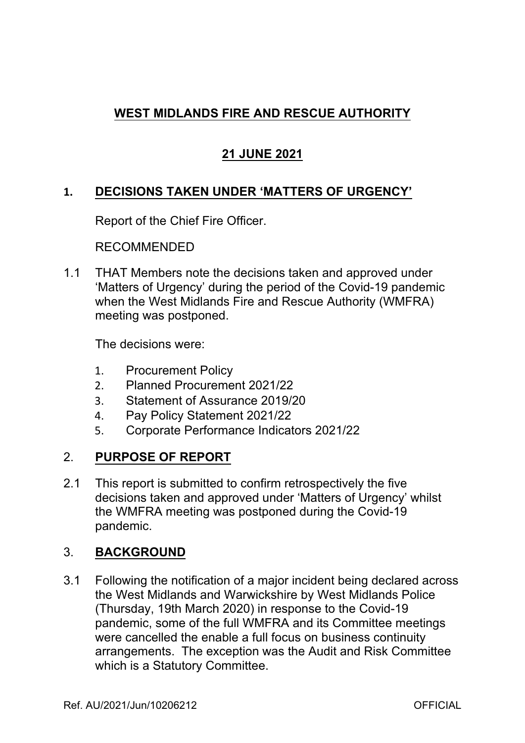# **WEST MIDLANDS FIRE AND RESCUE AUTHORITY**

# **21 JUNE 2021**

## **1. DECISIONS TAKEN UNDER 'MATTERS OF URGENCY'**

Report of the Chief Fire Officer.

RECOMMENDED

1.1 THAT Members note the decisions taken and approved under 'Matters of Urgency' during the period of the Covid-19 pandemic when the West Midlands Fire and Rescue Authority (WMFRA) meeting was postponed.

The decisions were:

- 1. Procurement Policy
- 2. Planned Procurement 2021/22
- 3. Statement of Assurance 2019/20
- 4. Pay Policy Statement 2021/22
- 5. Corporate Performance Indicators 2021/22

## 2. **PURPOSE OF REPORT**

2.1 This report is submitted to confirm retrospectively the five decisions taken and approved under 'Matters of Urgency' whilst the WMFRA meeting was postponed during the Covid-19 pandemic.

## 3. **BACKGROUND**

3.1 Following the notification of a major incident being declared across the West Midlands and Warwickshire by West Midlands Police (Thursday, 19th March 2020) in response to the Covid-19 pandemic, some of the full WMFRA and its Committee meetings were cancelled the enable a full focus on business continuity arrangements. The exception was the Audit and Risk Committee which is a Statutory Committee.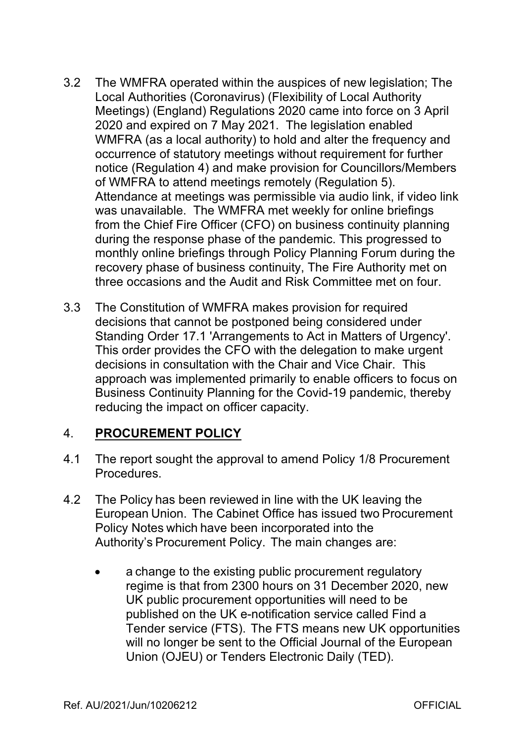- 3.2 The WMFRA operated within the auspices of new legislation; The Local Authorities (Coronavirus) (Flexibility of Local Authority Meetings) (England) Regulations 2020 came into force on 3 April 2020 and expired on 7 May 2021. The legislation enabled WMFRA (as a local authority) to hold and alter the frequency and occurrence of statutory meetings without requirement for further notice (Regulation 4) and make provision for Councillors/Members of WMFRA to attend meetings remotely (Regulation 5). Attendance at meetings was permissible via audio link, if video link was unavailable. The WMFRA met weekly for online briefings from the Chief Fire Officer (CFO) on business continuity planning during the response phase of the pandemic. This progressed to monthly online briefings through Policy Planning Forum during the recovery phase of business continuity, The Fire Authority met on three occasions and the Audit and Risk Committee met on four.
- 3.3 The Constitution of WMFRA makes provision for required decisions that cannot be postponed being considered under Standing Order 17.1 'Arrangements to Act in Matters of Urgency'. This order provides the CFO with the delegation to make urgent decisions in consultation with the Chair and Vice Chair. This approach was implemented primarily to enable officers to focus on Business Continuity Planning for the Covid-19 pandemic, thereby reducing the impact on officer capacity.

## 4. **PROCUREMENT POLICY**

- 4.1 The report sought the approval to amend Policy 1/8 Procurement Procedures.
- 4.2 The Policy has been reviewed in line with the UK leaving the European Union. The Cabinet Office has issued two Procurement Policy Notes which have been incorporated into the Authority's Procurement Policy. The main changes are:
	- a change to the existing public procurement regulatory regime is that from 2300 hours on 31 December 2020, new UK public procurement opportunities will need to be published on the UK e-notification service called Find a Tender service (FTS). The FTS means new UK opportunities will no longer be sent to the Official Journal of the European Union (OJEU) or Tenders Electronic Daily (TED).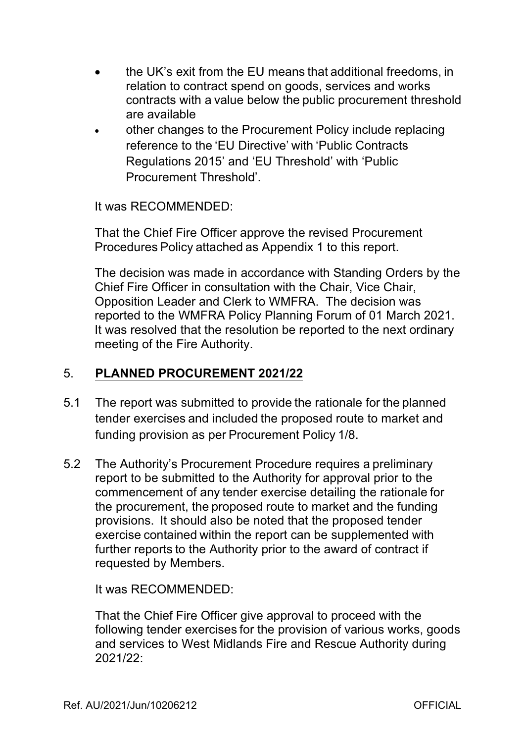- the UK's exit from the EU means that additional freedoms, in relation to contract spend on goods, services and works contracts with a value below the public procurement threshold are available
- other changes to the Procurement Policy include replacing reference to the 'EU Directive' with 'Public Contracts Regulations 2015' and 'EU Threshold' with 'Public Procurement Threshold'.

It was RECOMMENDED:

That the Chief Fire Officer approve the revised Procurement Procedures Policy attached as Appendix 1 to this report.

The decision was made in accordance with Standing Orders by the Chief Fire Officer in consultation with the Chair, Vice Chair, Opposition Leader and Clerk to WMFRA. The decision was reported to the WMFRA Policy Planning Forum of 01 March 2021. It was resolved that the resolution be reported to the next ordinary meeting of the Fire Authority.

## 5. **PLANNED PROCUREMENT 2021/22**

- 5.1 The report was submitted to provide the rationale for the planned tender exercises and included the proposed route to market and funding provision as per Procurement Policy 1/8.
- 5.2 The Authority's Procurement Procedure requires a preliminary report to be submitted to the Authority for approval prior to the commencement of any tender exercise detailing the rationale for the procurement, the proposed route to market and the funding provisions. It should also be noted that the proposed tender exercise contained within the report can be supplemented with further reports to the Authority prior to the award of contract if requested by Members.

It was RECOMMENDED:

That the Chief Fire Officer give approval to proceed with the following tender exercises for the provision of various works, goods and services to West Midlands Fire and Rescue Authority during 2021/22: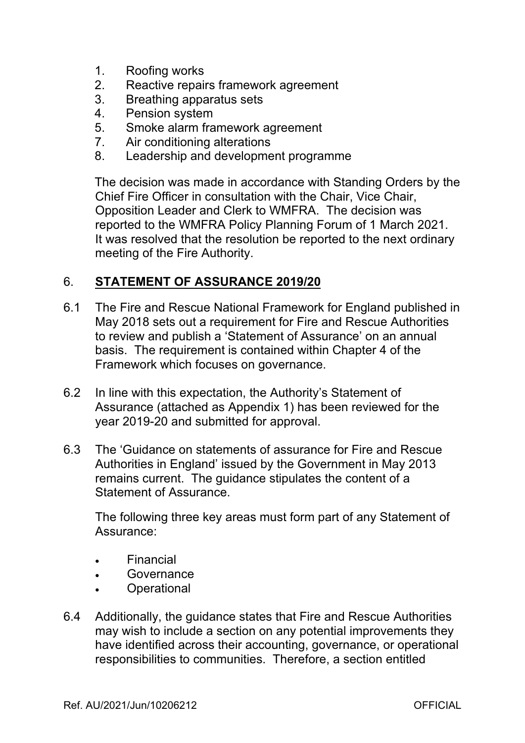- 1. Roofing works
- 2. Reactive repairs framework agreement
- 3. Breathing apparatus sets
- 4. Pension system
- 5. Smoke alarm framework agreement
- 7. Air conditioning alterations
- 8. Leadership and development programme

The decision was made in accordance with Standing Orders by the Chief Fire Officer in consultation with the Chair, Vice Chair, Opposition Leader and Clerk to WMFRA. The decision was reported to the WMFRA Policy Planning Forum of 1 March 2021. It was resolved that the resolution be reported to the next ordinary meeting of the Fire Authority.

## 6. **STATEMENT OF ASSURANCE 2019/20**

- 6.1 The Fire and Rescue National Framework for England published in May 2018 sets out a requirement for Fire and Rescue Authorities to review and publish a 'Statement of Assurance' on an annual basis. The requirement is contained within Chapter 4 of the Framework which focuses on governance.
- 6.2 In line with this expectation, the Authority's Statement of Assurance (attached as Appendix 1) has been reviewed for the year 2019-20 and submitted for approval.
- 6.3 The 'Guidance on statements of assurance for Fire and Rescue Authorities in England' issued by the Government in May 2013 remains current. The guidance stipulates the content of a Statement of Assurance.

The following three key areas must form part of any Statement of Assurance:

- Financial
- Governance
- **Operational**
- 6.4 Additionally, the guidance states that Fire and Rescue Authorities may wish to include a section on any potential improvements they have identified across their accounting, governance, or operational responsibilities to communities. Therefore, a section entitled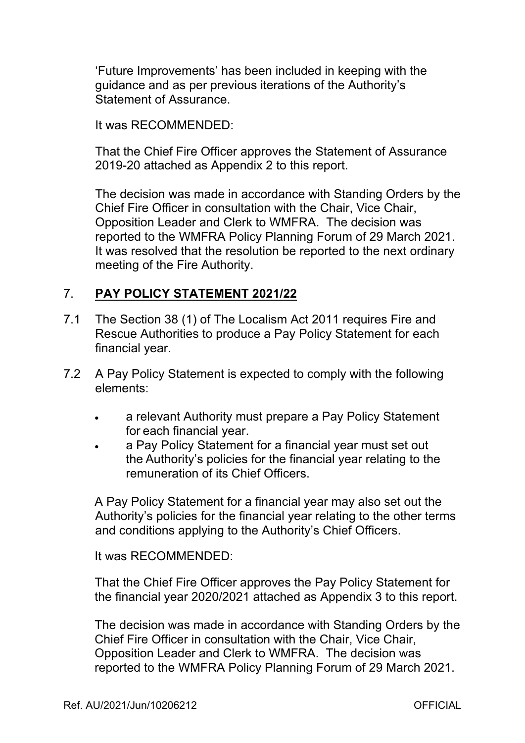'Future Improvements' has been included in keeping with the guidance and as per previous iterations of the Authority's Statement of Assurance.

It was RECOMMENDED:

That the Chief Fire Officer approves the Statement of Assurance 2019-20 attached as Appendix 2 to this report.

The decision was made in accordance with Standing Orders by the Chief Fire Officer in consultation with the Chair, Vice Chair, Opposition Leader and Clerk to WMFRA. The decision was reported to the WMFRA Policy Planning Forum of 29 March 2021. It was resolved that the resolution be reported to the next ordinary meeting of the Fire Authority.

## 7. **PAY POLICY STATEMENT 2021/22**

- 7.1 The Section 38 (1) of The Localism Act 2011 requires Fire and Rescue Authorities to produce a Pay Policy Statement for each financial year.
- 7.2 A Pay Policy Statement is expected to comply with the following elements:
	- a relevant Authority must prepare a Pay Policy Statement for each financial year.
	- a Pay Policy Statement for a financial year must set out the Authority's policies for the financial year relating to the remuneration of its Chief Officers.

A Pay Policy Statement for a financial year may also set out the Authority's policies for the financial year relating to the other terms and conditions applying to the Authority's Chief Officers.

It was RECOMMENDED:

That the Chief Fire Officer approves the Pay Policy Statement for the financial year 2020/2021 attached as Appendix 3 to this report.

The decision was made in accordance with Standing Orders by the Chief Fire Officer in consultation with the Chair, Vice Chair, Opposition Leader and Clerk to WMFRA. The decision was reported to the WMFRA Policy Planning Forum of 29 March 2021.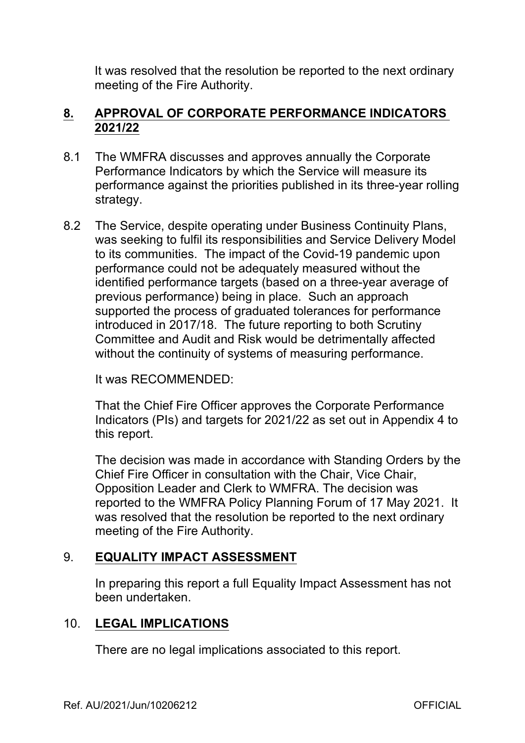It was resolved that the resolution be reported to the next ordinary meeting of the Fire Authority.

#### **8. APPROVAL OF CORPORATE PERFORMANCE INDICATORS 2021/22**

- 8.1 The WMFRA discusses and approves annually the Corporate Performance Indicators by which the Service will measure its performance against the priorities published in its three-year rolling strategy.
- 8.2 The Service, despite operating under Business Continuity Plans, was seeking to fulfil its responsibilities and Service Delivery Model to its communities. The impact of the Covid-19 pandemic upon performance could not be adequately measured without the identified performance targets (based on a three-year average of previous performance) being in place. Such an approach supported the process of graduated tolerances for performance introduced in 2017/18. The future reporting to both Scrutiny Committee and Audit and Risk would be detrimentally affected without the continuity of systems of measuring performance.

It was RECOMMENDED:

That the Chief Fire Officer approves the Corporate Performance Indicators (PIs) and targets for 2021/22 as set out in Appendix 4 to this report.

The decision was made in accordance with Standing Orders by the Chief Fire Officer in consultation with the Chair, Vice Chair, Opposition Leader and Clerk to WMFRA. The decision was reported to the WMFRA Policy Planning Forum of 17 May 2021. It was resolved that the resolution be reported to the next ordinary meeting of the Fire Authority.

## 9. **EQUALITY IMPACT ASSESSMENT**

In preparing this report a full Equality Impact Assessment has not been undertaken.

## 10. **LEGAL IMPLICATIONS**

There are no legal implications associated to this report.